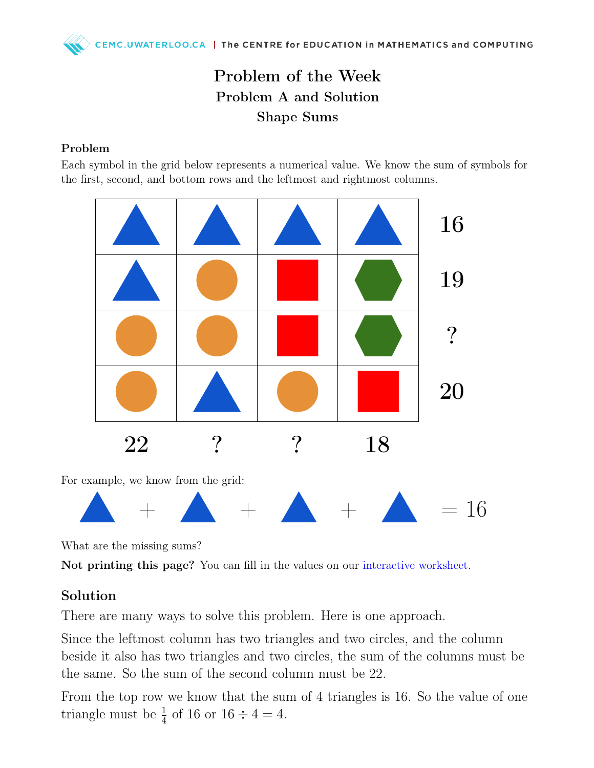## Problem of the Week Problem A and Solution Shape Sums

#### Problem

Each symbol in the grid below represents a numerical value. We know the sum of symbols for the first, second, and bottom rows and the leftmost and rightmost columns.



What are the missing sums?

Not printing this page? You can fill in the values on our [interactive worksheet.](https://www.geogebra.org/m/axkd8b8x)

#### Solution

There are many ways to solve this problem. Here is one approach.

Since the leftmost column has two triangles and two circles, and the column beside it also has two triangles and two circles, the sum of the columns must be the same. So the sum of the second column must be 22.

From the top row we know that the sum of 4 triangles is 16. So the value of one triangle must be  $\frac{1}{4}$  of 16 or 16  $\div$  4 = 4.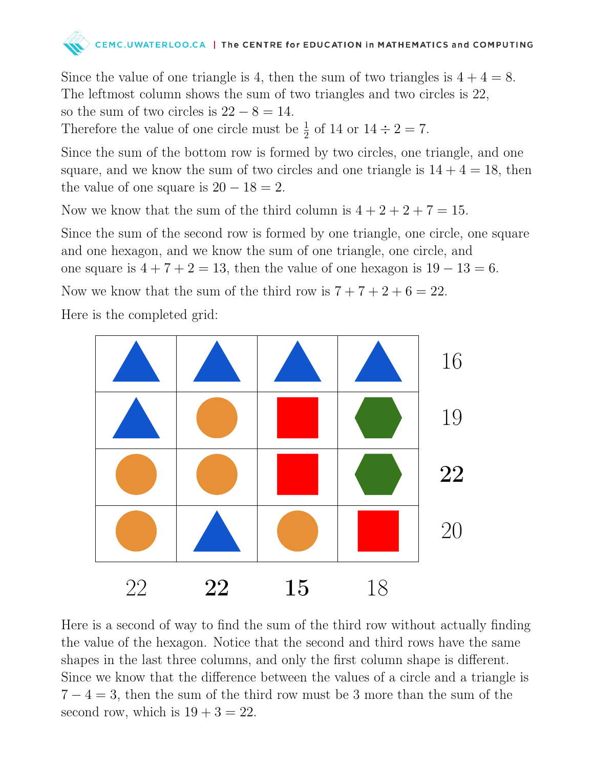

Since the value of one triangle is 4, then the sum of two triangles is  $4 + 4 = 8$ . The leftmost column shows the sum of two triangles and two circles is 22, so the sum of two circles is  $22 - 8 = 14$ .

Therefore the value of one circle must be  $\frac{1}{2}$  of 14 or  $14 \div 2 = 7$ .

Since the sum of the bottom row is formed by two circles, one triangle, and one square, and we know the sum of two circles and one triangle is  $14 + 4 = 18$ , then the value of one square is  $20 - 18 = 2$ .

Now we know that the sum of the third column is  $4 + 2 + 2 + 7 = 15$ .

Since the sum of the second row is formed by one triangle, one circle, one square and one hexagon, and we know the sum of one triangle, one circle, and one square is  $4 + 7 + 2 = 13$ , then the value of one hexagon is  $19 - 13 = 6$ .

Now we know that the sum of the third row is  $7 + 7 + 2 + 6 = 22$ .

Here is the completed grid:



Here is a second of way to find the sum of the third row without actually finding the value of the hexagon. Notice that the second and third rows have the same shapes in the last three columns, and only the first column shape is different. Since we know that the difference between the values of a circle and a triangle is  $7 - 4 = 3$ , then the sum of the third row must be 3 more than the sum of the second row, which is  $19 + 3 = 22$ .